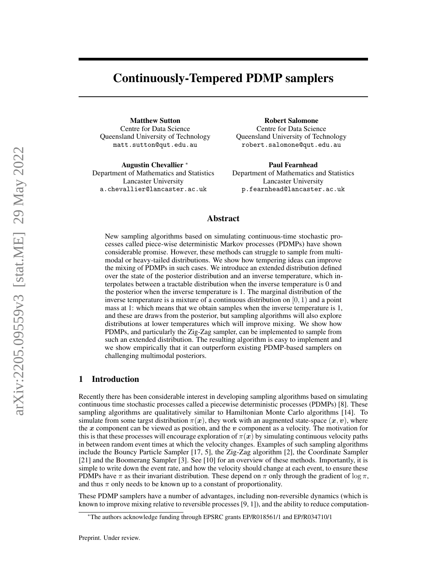# Continuously-Tempered PDMP samplers

Matthew Sutton Centre for Data Science Queensland University of Technology matt.sutton@qut.edu.au

Augustin Chevallier <sup>∗</sup> Department of Mathematics and Statistics Lancaster University a.chevallier@lancaster.ac.uk

Robert Salomone Centre for Data Science Queensland University of Technology robert.salomone@qut.edu.au

Paul Fearnhead Department of Mathematics and Statistics Lancaster University p.fearnhead@lancaster.ac.uk

## Abstract

New sampling algorithms based on simulating continuous-time stochastic processes called piece-wise deterministic Markov processes (PDMPs) have shown considerable promise. However, these methods can struggle to sample from multimodal or heavy-tailed distributions. We show how tempering ideas can improve the mixing of PDMPs in such cases. We introduce an extended distribution defined over the state of the posterior distribution and an inverse temperature, which interpolates between a tractable distribution when the inverse temperature is 0 and the posterior when the inverse temperature is 1. The marginal distribution of the inverse temperature is a mixture of a continuous distribution on  $[0, 1)$  and a point mass at 1: which means that we obtain samples when the inverse temperature is 1, and these are draws from the posterior, but sampling algorithms will also explore distributions at lower temperatures which will improve mixing. We show how PDMPs, and particularly the Zig-Zag sampler, can be implemented to sample from such an extended distribution. The resulting algorithm is easy to implement and we show empirically that it can outperform existing PDMP-based samplers on challenging multimodal posteriors.

## 1 Introduction

Recently there has been considerable interest in developing sampling algorithms based on simulating continuous time stochastic processes called a piecewise deterministic processes (PDMPs) [8]. These sampling algorithms are qualitatively similar to Hamiltonian Monte Carlo algorithms [14]. To simulate from some targst distribution  $\pi(x)$ , they work with an augmented state-space  $(x, v)$ , where the  $x$  component can be viewed as position, and the  $v$  component as a velocity. The motivation for this is that these processes will encourage exploration of  $\pi(x)$  by simulating continuous velocity paths in between random event times at which the velocity changes. Examples of such sampling algorithms include the Bouncy Particle Sampler [17, 5], the Zig-Zag algorithm [2], the Coordinate Sampler [21] and the Boomerang Sampler [3]. See [10] for an overview of these methods. Importantly, it is simple to write down the event rate, and how the velocity should change at each event, to ensure these PDMPs have  $\pi$  as their invariant distribution. These depend on  $\pi$  only through the gradient of log  $\pi$ , and thus  $\pi$  only needs to be known up to a constant of proportionality.

These PDMP samplers have a number of advantages, including non-reversible dynamics (which is known to improve mixing relative to reversible processes  $[9, 1]$ , and the ability to reduce computation-

<sup>∗</sup>The authors acknowledge funding through EPSRC grants EP/R018561/1 and EP/R034710/1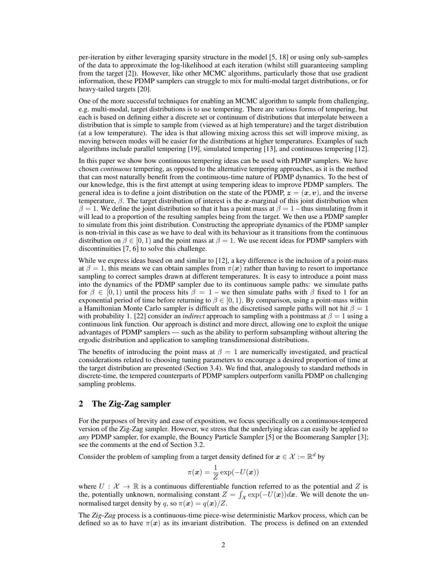per-iteration by either leveraging sparsity structure in the model [5, 18] or using only sub-samples of the data to approximate the log-likelihood at each iteration (whilst still guaranteeing sampling from the target [2]). However, like other MCMC algorithms, particularly those that use gradient information, these PDMP samplers can struggle to mix for multi-modal target distributions, or for heavy-tailed targets [20].

One of the more successful techniques for enabling an MCMC algorithm to sample from challenging, e.g. multi-modal, target distributions is to use tempering. There are various forms of tempering, but each is based on defining either a discrete set or continuum of distributions that interpolate between a distribution that is simple to sample from (viewed as at high temperature) and the target distribution (at a low temperature). The idea is that allowing mixing across this set will improve mixing, as moving between modes will be easier for the distributions at higher temperatures. Examples of such algorithms include parallel tempering [19], simulated tempering [13], and continuous tempering [12].

In this paper we show how continuous tempering ideas can be used with PDMP samplers. We have chosen *continuous* tempering, as opposed to the alternative tempering approaches, as it is the method that can most naturally benefit from the continuous-time nature of PDMP dynamics. To the best of our knowledge, this is the first attempt at using tempering ideas to improve PDMP samplers. The general idea is to define a joint distribution on the state of the PDMP,  $z = (x, v)$ , and the inverse temperature,  $β$ . The target distribution of interest is the x-marginal of this joint distribution when  $\beta = 1$ . We define the joint distribution so that it has a point mass at  $\beta = 1$  – thus simulating from it will lead to a proportion of the resulting samples being from the target. We then use a PDMP sampler to simulate from this joint distribution. Constructing the appropriate dynamics of the PDMP sampler is non-trivial in this case as we have to deal with its behaviour as it transitions from the continuous distribution on  $\beta \in [0, 1)$  and the point mass at  $\beta = 1$ . We use recent ideas for PDMP samplers with discontinuities [7, 6] to solve this challenge.

While we express ideas based on and similar to [12], a key difference is the inclusion of a point-mass at  $\beta = 1$ , this means we can obtain samples from  $\pi(x)$  rather than having to resort to importance sampling to correct samples drawn at different temperatures. It is easy to introduce a point mass into the dynamics of the PDMP sampler due to its continuous sample paths: we simulate paths for  $\beta \in [0, 1)$  until the process hits  $\beta = 1$  – we then simulate paths with  $\beta$  fixed to 1 for an exponential period of time before returning to  $\beta \in [0, 1)$ . By comparison, using a point-mass within a Hamiltonian Monte Carlo sampler is difficult as the discretised sample paths will not hit  $\beta = 1$ with probability 1. [22] consider an *indirect* approach to sampling with a pointmass at  $\beta = 1$  using a continuous link function. Our approach is distinct and more direct, allowing one to exploit the unique advantages of PDMP samplers — such as the ability to perform subsampling without altering the ergodic distribution and application to sampling transdimensional distributions.

The benefits of introducing the point mass at  $\beta = 1$  are numerically investigated, and practical considerations related to choosing tuning parameters to encourage a desired proportion of time at the target distribution are presented (Section 3.4). We find that, analogously to standard methods in discrete-time, the tempered counterparts of PDMP samplers outperform vanilla PDMP on challenging sampling problems.

## 2 The Zig-Zag sampler

For the purposes of brevity and ease of exposition, we focus specifically on a continuous-tempered version of the Zig-Zag sampler. However, we stress that the underlying ideas can easily be applied to *any* PDMP sampler, for example, the Bouncy Particle Sampler [5] or the Boomerang Sampler [3]; see the comments at the end of Section 3.2.

Consider the problem of sampling from a target density defined for  $x \in \mathcal{X} := \mathbb{R}^d$  by

$$
\pi(\boldsymbol{x}) = \frac{1}{Z} \exp(-U(\boldsymbol{x}))
$$

where  $U: \mathcal{X} \to \mathbb{R}$  is a continuous differentiable function referred to as the potential and Z is the, potentially unknown, normalising constant  $Z = \int_{\mathcal{X}} \exp(-U(x))dx$ . We will denote the unnormalised target density by q, so  $\pi(x) = q(x)/Z$ .

The *Zig-Zag* process is a continuous-time piece-wise deterministic Markov process, which can be defined so as to have  $\pi(x)$  as its invariant distribution. The process is defined on an extended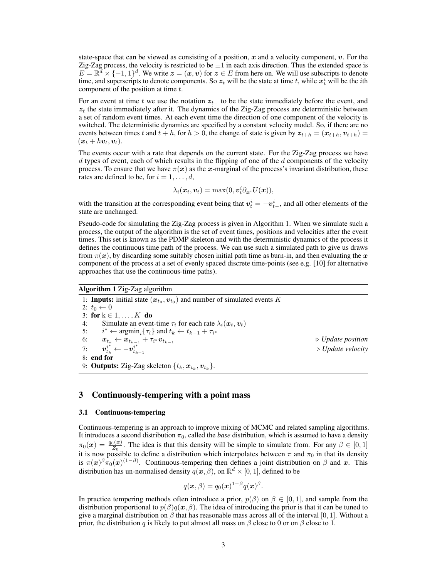state-space that can be viewed as consisting of a position, x and a velocity component,  $v$ . For the Zig-Zag process, the velocity is restricted to be  $\pm 1$  in each axis direction. Thus the extended space is  $E = \mathbb{R}^d \times \{-1,1\}^d$ . We write  $\boldsymbol{z} = (\boldsymbol{x}, \boldsymbol{v})$  for  $\boldsymbol{z} \in E$  from here on. We will use subscripts to denote time, and superscripts to denote components. So  $z_t$  will be the state at time t, while  $x_t^i$  will be the ith component of the position at time t.

For an event at time t we use the notation  $z_{t-}$  to be the state immediately before the event, and  $z_t$  the state immediately after it. The dynamics of the Zig-Zag process are deterministic between a set of random event times. At each event time the direction of one component of the velocity is switched. The deterministic dynamics are specified by a constant velocity model. So, if there are no events between times t and  $t + h$ , for  $h > 0$ , the change of state is given by  $z_{t+h} = (x_{t+h}, v_{t+h}) =$  $(\boldsymbol{x}_t + h \boldsymbol{v}_t, \boldsymbol{v}_t).$ 

The events occur with a rate that depends on the current state. For the Zig-Zag process we have  $d$  types of event, each of which results in the flipping of one of the  $d$  components of the velocity process. To ensure that we have  $\pi(x)$  as the x-marginal of the process's invariant distribution, these rates are defined to be, for  $i = 1, \ldots, d$ ,

$$
\lambda_i(\boldsymbol{x}_t, \boldsymbol{v}_t) = \max(0, \boldsymbol{v}_t^i \partial_{\boldsymbol{x}^i} U(\boldsymbol{x})),
$$

with the transition at the corresponding event being that  $v_t^i = -v_{t-}^i$ , and all other elements of the state are unchanged.

Pseudo-code for simulating the Zig-Zag process is given in Algorithm 1. When we simulate such a process, the output of the algorithm is the set of event times, positions and velocities after the event times. This set is known as the PDMP skeleton and with the deterministic dynamics of the process it defines the continuous time path of the process. We can use such a simulated path to give us draws from  $\pi(x)$ , by discarding some suitably chosen initial path time as burn-in, and then evaluating the x component of the process at a set of evenly spaced discrete time-points (see e.g. [10] for alternative approaches that use the continuous-time paths).

#### Algorithm 1 Zig-Zag algorithm

1: **Inputs:** initial state  $(x_{t_0}, v_{t_0})$  and number of simulated events K 2:  $t_0 \leftarrow 0$ 3: for  $k \in 1, ..., K$  do 4: Simulate an event Simulate an event-time  $\tau_i$  for each rate  $\lambda_i(\boldsymbol{x}_t, \boldsymbol{v}_t)$  $5:$ \*  $\leftarrow \operatorname{argmin}_i \{\tau_i\}$  and  $t_k \leftarrow t_{k-1} + \tau_{i^*}$ 6:  $\boldsymbol{x}_{t_k} \leftarrow \boldsymbol{x}_{t_{k-1}} + \tau_{i^*} \boldsymbol{v}_{t_{k-1}}$ . *Update position* 7:  $\boldsymbol{v}_{t_k}^{i^*} \leftarrow -\boldsymbol{v}_{t_{k-1}}^{i^*}$ . *Update velocity* 8: end for 9: **Outputs:** Zig-Zag skeleton  $\{t_k, x_{t_k}, v_{t_k}\}.$ 

## 3 Continuously-tempering with a point mass

#### 3.1 Continuous-tempering

Continuous-tempering is an approach to improve mixing of MCMC and related sampling algorithms. It introduces a second distribution  $\pi_0$ , called the *base* distribution, which is assumed to have a density  $\pi_0(\bm{x}) = \frac{q_0(\bm{x})}{Z_0}$ . The idea is that this density will be simple to simulate from. For any  $\beta \in [0, 1]$ it is now possible to define a distribution which interpolates between  $\pi$  and  $\pi_0$  in that its density is  $\pi(\bm{x})^{\beta} \pi_0(\bm{x})^{(1-\beta)}$ . Continuous-tempering then defines a joint distribution on  $\beta$  and  $\bm{x}$ . This distribution has un-normalised density  $q(\boldsymbol{x}, \beta)$ , on  $\mathbb{R}^d \times [0, 1]$ , defined to be

$$
q(\boldsymbol{x},\beta) = q_0(\boldsymbol{x})^{1-\beta}q(\boldsymbol{x})^{\beta}.
$$

In practice tempering methods often introduce a prior,  $p(\beta)$  on  $\beta \in [0,1]$ , and sample from the distribution proportional to  $p(\beta)q(x, \beta)$ . The idea of introducing the prior is that it can be tuned to give a marginal distribution on  $\beta$  that has reasonable mass across all of the interval [0, 1]. Without a prior, the distribution q is likely to put almost all mass on  $\beta$  close to 0 or on  $\beta$  close to 1.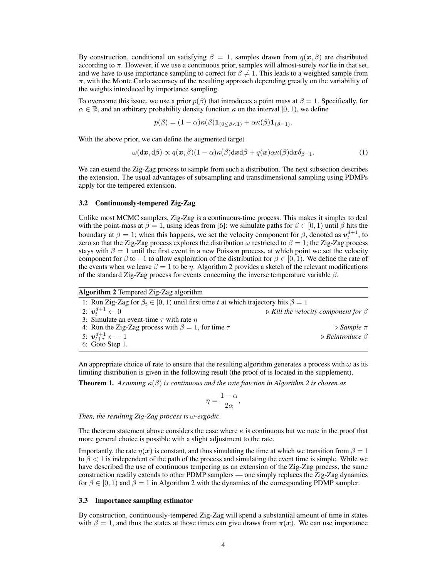By construction, conditional on satisfying  $\beta = 1$ , samples drawn from  $q(x, \beta)$  are distributed according to π. However, if we use a continuous prior, samples will almost-surely *not* lie in that set, and we have to use importance sampling to correct for  $\beta \neq 1$ . This leads to a weighted sample from  $\pi$ , with the Monte Carlo accuracy of the resulting approach depending greatly on the variability of the weights introduced by importance sampling.

To overcome this issue, we use a prior  $p(\beta)$  that introduces a point mass at  $\beta = 1$ . Specifically, for  $\alpha \in \mathbb{R}$ , and an arbitrary probability density function  $\kappa$  on the interval [0, 1), we define

$$
p(\beta) = (1 - \alpha)\kappa(\beta)\mathbf{1}_{(0 \leq \beta < 1)} + \alpha \kappa(\beta)\mathbf{1}_{(\beta=1)}.
$$

With the above prior, we can define the augmented target

$$
\omega(\mathbf{d}\mathbf{x},\mathbf{d}\beta) \propto q(\mathbf{x},\beta)(1-\alpha)\kappa(\beta)\mathbf{d}\mathbf{x}\mathbf{d}\beta + q(\mathbf{x})\alpha\kappa(\beta)\mathbf{d}\mathbf{x}\delta_{\beta=1}.\tag{1}
$$

We can extend the Zig-Zag process to sample from such a distribution. The next subsection describes the extension. The usual advantages of subsampling and transdimensional sampling using PDMPs apply for the tempered extension.

#### 3.2 Continuously-tempered Zig-Zag

Unlike most MCMC samplers, Zig-Zag is a continuous-time process. This makes it simpler to deal with the point-mass at  $\beta = 1$ , using ideas from [6]: we simulate paths for  $\beta \in [0, 1)$  until  $\beta$  hits the boundary at  $\beta = 1$ ; when this happens, we set the velocity component for  $\beta$ , denoted as  $v_t^{d+1}$ , to zero so that the Zig-Zag process explores the distribution  $\omega$  restricted to  $\beta = 1$ ; the Zig-Zag process stays with  $\beta = 1$  until the first event in a new Poisson process, at which point we set the velocity component for  $\beta$  to  $-1$  to allow exploration of the distribution for  $\beta \in [0, 1)$ . We define the rate of the events when we leave  $\beta = 1$  to be  $\eta$ . Algorithm 2 provides a sketch of the relevant modifications of the standard Zig-Zag process for events concerning the inverse temperature variable  $\beta$ .

| Algorithm 2 Tempered Zig-Zag algorithm |  |
|----------------------------------------|--|
|----------------------------------------|--|

| 1: Run Zig-Zag for $\beta_t \in [0, 1)$ until first time t at which trajectory hits $\beta = 1$ |                                                          |
|-------------------------------------------------------------------------------------------------|----------------------------------------------------------|
| 2: $v^{d+1}_t \leftarrow 0$                                                                     | $\triangleright$ Kill the velocity component for $\beta$ |
| 3: Simulate an event-time $\tau$ with rate $\eta$                                               |                                                          |
| 4: Run the Zig-Zag process with $\beta = 1$ , for time $\tau$                                   | $\triangleright$ Sample $\pi$                            |
| 5: $v_{t+\tau}^{d+1} \leftarrow -1$                                                             | $\triangleright$ Reintroduce $\beta$                     |
| 6: Goto Step 1.                                                                                 |                                                          |

An appropriate choice of rate to ensure that the resulting algorithm generates a process with  $\omega$  as its limiting distribution is given in the following result (the proof of is located in the supplement).

**Theorem 1.** Assuming  $\kappa(\beta)$  is continuous and the rate function in Algorithm 2 is chosen as

$$
\eta = \frac{1-\alpha}{2\alpha},
$$

*Then, the resulting Zig-Zag process is* ω*-ergodic.*

The theorem statement above considers the case where  $\kappa$  is continuous but we note in the proof that more general choice is possible with a slight adjustment to the rate.

Importantly, the rate  $\eta(x)$  is constant, and thus simulating the time at which we transition from  $\beta = 1$ to  $\beta$  < 1 is independent of the path of the process and simulating the event time is simple. While we have described the use of continuous tempering as an extension of the Zig-Zag process, the same construction readily extends to other PDMP samplers — one simply replaces the Zig-Zag dynamics for  $\beta \in [0, 1)$  and  $\beta = 1$  in Algorithm 2 with the dynamics of the corresponding PDMP sampler.

#### 3.3 Importance sampling estimator

By construction, continuously-tempered Zig-Zag will spend a substantial amount of time in states with  $\beta = 1$ , and thus the states at those times can give draws from  $\pi(x)$ . We can use importance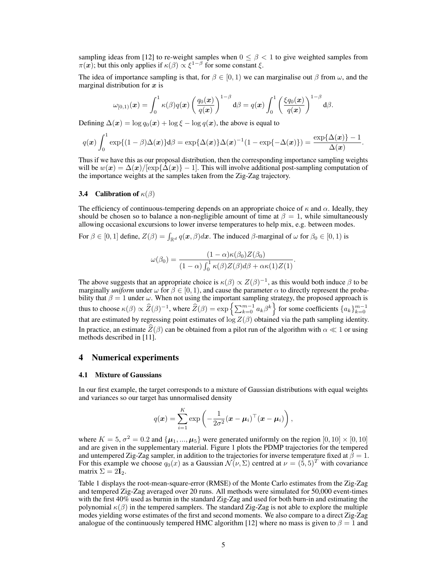sampling ideas from [12] to re-weight samples when  $0 \leq \beta < 1$  to give weighted samples from  $\pi(\boldsymbol{x})$ ; but this only applies if  $\kappa(\beta) \propto \xi^{1-\beta}$  for some constant  $\xi$ .

The idea of importance sampling is that, for  $\beta \in [0, 1)$  we can marginalise out  $\beta$  from  $\omega$ , and the marginal distribution for  $x$  is

$$
\omega_{[0,1)}(\boldsymbol{x}) = \int_0^1 \kappa(\beta) q(\boldsymbol{x}) \left(\frac{q_0(\boldsymbol{x})}{q(\boldsymbol{x})}\right)^{1-\beta} d\beta = q(\boldsymbol{x}) \int_0^1 \left(\frac{\xi q_0(\boldsymbol{x})}{q(\boldsymbol{x})}\right)^{1-\beta} d\beta.
$$

Defining  $\Delta(x) = \log q_0(x) + \log \xi - \log q(x)$ , the above is equal to

$$
q(\boldsymbol{x})\int_0^1 \exp\{(1-\beta)\Delta(\boldsymbol{x})\}d\beta = \exp\{\Delta(\boldsymbol{x})\}\Delta(\boldsymbol{x})^{-1}(1-\exp\{-\Delta(\boldsymbol{x})\}) = \frac{\exp\{\Delta(\boldsymbol{x})\}-1}{\Delta(\boldsymbol{x})}.
$$

Thus if we have this as our proposal distribution, then the corresponding importance sampling weights will be  $w(x) = \Delta(x)/[\exp{\{\Delta(x)\}} - 1]$ . This will involve additional post-sampling computation of the importance weights at the samples taken from the Zig-Zag trajectory.

## 3.4 Calibration of  $\kappa(\beta)$

The efficiency of continuous-tempering depends on an appropriate choice of  $\kappa$  and  $\alpha$ . Ideally, they should be chosen so to balance a non-negligible amount of time at  $\beta = 1$ , while simultaneously allowing occasional excursions to lower inverse temperatures to help mix, e.g. between modes.

For  $\beta \in [0, 1]$  define,  $Z(\beta) = \int_{\mathbb{R}^d} q(x, \beta) dx$ . The induced  $\beta$ -marginal of  $\omega$  for  $\beta_0 \in [0, 1)$  is

$$
\omega(\beta_0) = \frac{(1-\alpha)\kappa(\beta_0)Z(\beta_0)}{(1-\alpha)\int_0^1 \kappa(\beta)Z(\beta)d\beta + \alpha\kappa(1)Z(1)}
$$

.

The above suggests that an appropriate choice is  $\kappa(\beta) \propto Z(\beta)^{-1}$ , as this would both induce  $\beta$  to be marginally *uniform* under  $\omega$  for  $\beta \in [0, 1)$ , and cause the parameter  $\alpha$  to directly represent the probability that  $\beta = 1$  under  $\omega$ . When not using the important sampling strategy, the proposed approach is thus to choose  $\kappa(\beta) \propto \widehat{Z}(\beta)^{-1}$ , where  $\widehat{Z}(\beta) = \exp \left\{ \sum_{k=0}^{m-1} a_k \beta^k \right\}$  for some coefficients  $\{a_k\}_{k=0}^{m-1}$ that are estimated by regressing point estimates of  $\log Z(\beta)$  obtained via the path sampling identity. In practice, an estimate  $Z(\beta)$  can be obtained from a pilot run of the algorithm with  $\alpha \ll 1$  or using methods described in [11].

## 4 Numerical experiments

#### 4.1 Mixture of Gaussians

In our first example, the target corresponds to a mixture of Gaussian distributions with equal weights and variances so our target has unnormalised density

$$
q(\boldsymbol{x}) = \sum_{i=1}^K \exp\left(-\frac{1}{2\sigma^2}(\boldsymbol{x}-\boldsymbol{\mu}_i)^\top(\boldsymbol{x}-\boldsymbol{\mu}_i)\right),
$$

where  $K = 5$ ,  $\sigma^2 = 0.2$  and  $\{\boldsymbol{\mu}_1, ..., \boldsymbol{\mu}_5\}$  were generated uniformly on the region  $[0, 10] \times [0, 10]$ and are given in the supplementary material. Figure 1 plots the PDMP trajectories for the tempered and untempered Zig-Zag sampler, in addition to the trajectories for inverse temperature fixed at  $\beta = 1$ . For this example we choose  $q_0(x)$  as a Gaussian  $\mathcal{N}(\nu, \Sigma)$  centred at  $\nu = (5, 5)^T$  with covariance matrix  $\Sigma = 2I_2$ .

Table 1 displays the root-mean-square-error (RMSE) of the Monte Carlo estimates from the Zig-Zag and tempered Zig-Zag averaged over 20 runs. All methods were simulated for 50,000 event-times with the first 40% used as burnin in the standard Zig-Zag and used for both burn-in and estimating the polynomial  $\kappa(\beta)$  in the tempered samplers. The standard Zig-Zag is not able to explore the multiple modes yielding worse estimates of the first and second moments. We also compare to a direct Zig-Zag analogue of the continuously tempered HMC algorithm [12] where no mass is given to  $\beta = 1$  and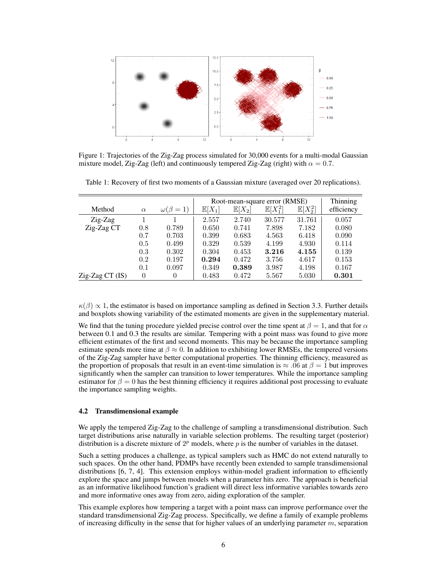

Figure 1: Trajectories of the Zig-Zag process simulated for 30,000 events for a multi-modal Gaussian mixture model, Zig-Zag (left) and continuously tempered Zig-Zag (right) with  $\alpha = 0.7$ .

| Method              | $\alpha$ | $\omega(\beta=1)$ | $\mathbb{E}[X_1]$ | $\mathbb{E}[X_2]$ | Root-mean-square error (RMSE)<br>$\mathbb{E}[X_1^2]$ | $\mathbb{E}[X_2^2]$ | Thinning<br>efficiency |
|---------------------|----------|-------------------|-------------------|-------------------|------------------------------------------------------|---------------------|------------------------|
| $Zig-Zag$           |          |                   | 2.557             | 2.740             | 30.577                                               | 31.761              | 0.057                  |
| Zig-Zag CT          | 0.8      | 0.789             | 0.650             | 0.741             | 7.898                                                | 7.182               | 0.080                  |
|                     | 0.7      | 0.703             | 0.399             | 0.683             | 4.563                                                | 6.418               | 0.090                  |
|                     | 0.5      | 0.499             | 0.329             | 0.539             | 4.199                                                | 4.930               | 0.114                  |
|                     | 0.3      | 0.302             | 0.304             | 0.453             | 3.216                                                | 4.155               | 0.139                  |
|                     | 0.2      | 0.197             | 0.294             | 0.472             | 3.756                                                | 4.617               | 0.153                  |
|                     | 0.1      | 0.097             | 0.349             | 0.389             | 3.987                                                | 4.198               | 0.167                  |
| $Zig-Zag$ $CT$ (IS) | $\theta$ | $\theta$          | 0.483             | 0.472             | 5.567                                                | 5.030               | 0.301                  |

Table 1: Recovery of first two moments of a Gaussian mixture (averaged over 20 replications).

 $\kappa(\beta) \propto 1$ , the estimator is based on importance sampling as defined in Section 3.3. Further details and boxplots showing variability of the estimated moments are given in the supplementary material.

We find that the tuning procedure yielded precise control over the time spent at  $\beta = 1$ , and that for  $\alpha$ between 0.1 and 0.3 the results are similar. Tempering with a point mass was found to give more efficient estimates of the first and second moments. This may be because the importance sampling estimate spends more time at  $\beta \approx 0$ . In addition to exhibiting lower RMSEs, the tempered versions of the Zig-Zag sampler have better computational properties. The thinning efficiency, measured as the proportion of proposals that result in an event-time simulation is  $\approx 0.06$  at  $\beta = 1$  but improves significantly when the sampler can transition to lower temperatures. While the importance sampling estimator for  $\beta = 0$  has the best thinning efficiency it requires additional post processing to evaluate the importance sampling weights.

#### 4.2 Transdimensional example

We apply the tempered Zig-Zag to the challenge of sampling a transdimensional distribution. Such target distributions arise naturally in variable selection problems. The resulting target (posterior) distribution is a discrete mixture of  $2^p$  models, where p is the number of variables in the dataset.

Such a setting produces a challenge, as typical samplers such as HMC do not extend naturally to such spaces. On the other hand, PDMPs have recently been extended to sample transdimensional distributions [6, 7, 4]. This extension employs within-model gradient information to efficiently explore the space and jumps between models when a parameter hits zero. The approach is beneficial as an informative likelihood function's gradient will direct less informative variables towards zero and more informative ones away from zero, aiding exploration of the sampler.

This example explores how tempering a target with a point mass can improve performance over the standard transdimensional Zig-Zag process. Specifically, we define a family of example problems of increasing difficulty in the sense that for higher values of an underlying parameter  $m$ , separation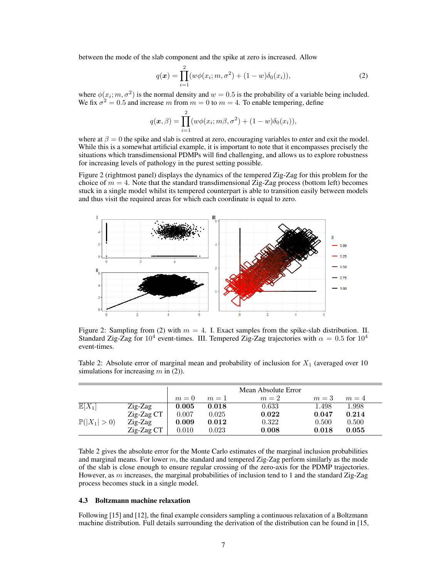between the mode of the slab component and the spike at zero is increased. Allow

$$
q(\boldsymbol{x}) = \prod_{i=1}^{2} (w\phi(x_i; m, \sigma^2) + (1 - w)\delta_0(x_i)),
$$
\n(2)

where  $\phi(x_i; m, \sigma^2)$  is the normal density and  $w = 0.5$  is the probability of a variable being included. We fix  $\sigma^2 = 0.5$  and increase m from  $m = 0$  to  $m = 4$ . To enable tempering, define

$$
q(\boldsymbol{x},\beta) = \prod_{i=1}^2 (w\phi(x_i;m\beta,\sigma^2) + (1-w)\delta_0(x_i)),
$$

where at  $\beta = 0$  the spike and slab is centred at zero, encouraging variables to enter and exit the model. While this is a somewhat artificial example, it is important to note that it encompasses precisely the situations which transdimensional PDMPs will find challenging, and allows us to explore robustness for increasing levels of pathology in the purest setting possible.

Figure 2 (rightmost panel) displays the dynamics of the tempered Zig-Zag for this problem for the choice of  $m = 4$ . Note that the standard transdimensional Zig-Zag process (bottom left) becomes stuck in a single model whilst its tempered counterpart is able to transition easily between models and thus visit the required areas for which each coordinate is equal to zero.



Figure 2: Sampling from (2) with  $m = 4$ . I. Exact samples from the spike-slab distribution. II. Standard Zig-Zag for  $10^4$  event-times. III. Tempered Zig-Zag trajectories with  $\alpha = 0.5$  for  $10^4$ event-times.

Table 2: Absolute error of marginal mean and probability of inclusion for  $X_1$  (averaged over 10 simulations for increasing  $m$  in (2)).

|                         |                | Mean Absolute Error |       |       |       |       |
|-------------------------|----------------|---------------------|-------|-------|-------|-------|
|                         |                | $m=0$               | $m=1$ | $m=2$ | $m=3$ | $m=4$ |
| $\mathbb{E}[X_1]$       | $Zig-Zag$      | 0.005               | 0.018 | 0.633 | 1.498 | 1.998 |
|                         | Zig-Zag CT     | 0.007               | 0.025 | 0.022 | 0.047 | 0.214 |
| $\mathbb{P}( X_1  > 0)$ | $Zig-Zag$      | 0.009               | 0.012 | 0.322 | 0.500 | 0.500 |
|                         | $Zig-Zag$ $CT$ | 0.010               | 0.023 | 0.008 | 0.018 | 0.055 |

Table 2 gives the absolute error for the Monte Carlo estimates of the marginal inclusion probabilities and marginal means. For lower  $m$ , the standard and tempered Zig-Zag perform similarly as the mode of the slab is close enough to ensure regular crossing of the zero-axis for the PDMP trajectories. However, as  $m$  increases, the marginal probabilities of inclusion tend to 1 and the standard Zig-Zag process becomes stuck in a single model.

### 4.3 Boltzmann machine relaxation

Following [15] and [12], the final example considers sampling a continuous relaxation of a Boltzmann machine distribution. Full details surrounding the derivation of the distribution can be found in [15,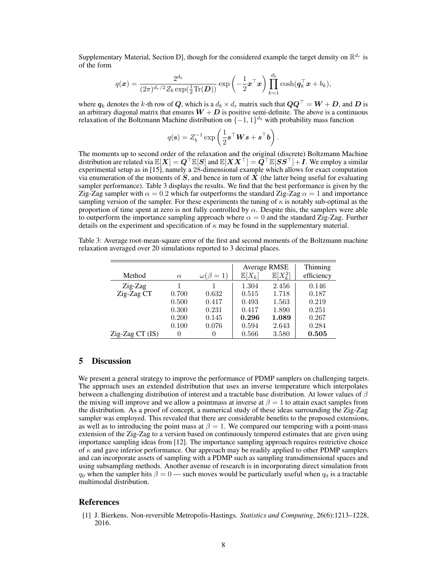Supplementary Material, Section D], though for the considered example the target density on  $\mathbb{R}^{d_r}$  is of the form

$$
q(\boldsymbol{x}) = \frac{2^{d_b}}{(2\pi)^{d_r/2}Z_b \exp(\frac{1}{2}\text{Tr}(\boldsymbol{D}))} \exp\left(-\frac{1}{2}\boldsymbol{x}^\top \boldsymbol{x}\right) \prod_{k=1}^{d_b} \cosh(\boldsymbol{q}_k^\top \boldsymbol{x} + b_k),
$$

where  $q_k$  denotes the k-th row of Q, which is a  $d_b \times d_r$  matrix such that  $QQ^\top = W + D$ , and D is an arbitrary diagonal matrix that ensures  $W + D$  is positive semi-definite. The above is a continuous relaxation of the Boltzmann Machine distribution on  $\{-1, 1\}^{d_b}$  with probability mass function

$$
q(\mathbf{s}) = Z_b^{-1} \exp\left(\frac{1}{2}\mathbf{s}^\top \mathbf{W} \mathbf{s} + \mathbf{s}^\top \mathbf{b}\right)
$$

.

The moments up to second order of the relaxation and the original (discrete) Boltzmann Machine distribution are related via  $\mathbb{E}[X] = Q^{\top} \mathbb{E}[S]$  and  $\mathbb{E}[XX^{\top}] = Q^{\top} \mathbb{E}[SS^{\top}] + I$ . We employ a similar experimental setup as in [15], namely a 28-dimensional example which allows for exact computation via enumeration of the moments of  $S$ , and hence in turn of  $X$  (the latter being useful for evaluating sampler performance). Table 3 displays the results. We find that the best performance is given by the Zig-Zag sampler with  $\alpha = 0.2$  which far outperforms the standard Zig-Zag  $\alpha = 1$  and importance sampling version of the sampler. For these experiments the tuning of  $\kappa$  is notably sub-optimal as the proportion of time spent at zero is not fully controlled by  $\alpha$ . Despite this, the samplers were able to outperform the importance sampling approach where  $\alpha = 0$  and the standard Zig-Zag. Further details on the experiment and specification of  $\kappa$  may be found in the supplementary material.

Table 3: Average root-mean-square error of the first and second moments of the Boltzmann machine relaxation averaged over 20 simulations reported to 3 decimal places.

|                     |          |                   |                   | Average RMSE        | Thinning   |
|---------------------|----------|-------------------|-------------------|---------------------|------------|
| Method              | $\alpha$ | $\omega(\beta=1)$ | $\mathbb{E}[X_k]$ | $\mathbb{E}[X_k^2]$ | efficiency |
| $Zig-Zag$           |          |                   | 1.304             | 2.456               | 0.146      |
| Zig-Zag CT          | 0.700    | 0.632             | 0.515             | 1.718               | 0.187      |
|                     | 0.500    | 0.417             | 0.493             | 1.563               | 0.219      |
|                     | 0.300    | 0.231             | 0.417             | 1.890               | 0.251      |
|                     | 0.200    | 0.145             | 0.296             | 1.089               | 0.267      |
|                     | 0.100    | 0.076             | 0.594             | 2.643               | 0.284      |
| $Zig-Zag$ $CT$ (IS) | 0        | 0                 | 0.566             | 3.580               | 0.505      |

# 5 Discussion

We present a general strategy to improve the performance of PDMP samplers on challenging targets. The approach uses an extended distribution that uses an inverse temperature which interpolates between a challenging distribution of interest and a tractable base distribution. At lower values of  $\beta$ the mixing will improve and we allow a pointmass at inverse at  $\beta = 1$  to attain exact samples from the distribution. As a proof of concept, a numerical study of these ideas surrounding the Zig-Zag sampler was employed. This revealed that there are considerable benefits to the proposed extensions, as well as to introducing the point mass at  $\beta = 1$ . We compared our tempering with a point-mass extension of the Zig-Zag to a version based on continuously tempered estimates that are given using importance sampling ideas from [12]. The importance sampling approach requires restrictive choice of  $\kappa$  and gave inferior performance. Our approach may be readily applied to other PDMP samplers and can incorporate assets of sampling with a PDMP such as sampling transdimensional spaces and using subsampling methods. Another avenue of research is in incorporating direct simulation from  $q_0$  when the sampler hits  $\beta = 0$  — such moves would be particularly useful when  $q_0$  is a tractable multimodal distribution.

## **References**

[1] J. Bierkens. Non-reversible Metropolis-Hastings. *Statistics and Computing*, 26(6):1213–1228, 2016.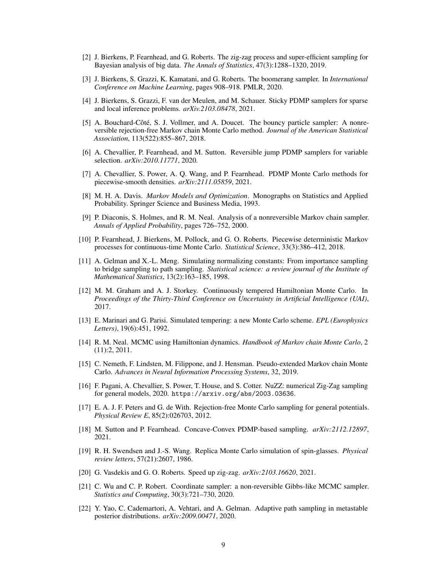- [2] J. Bierkens, P. Fearnhead, and G. Roberts. The zig-zag process and super-efficient sampling for Bayesian analysis of big data. *The Annals of Statistics*, 47(3):1288–1320, 2019.
- [3] J. Bierkens, S. Grazzi, K. Kamatani, and G. Roberts. The boomerang sampler. In *International Conference on Machine Learning*, pages 908–918. PMLR, 2020.
- [4] J. Bierkens, S. Grazzi, F. van der Meulen, and M. Schauer. Sticky PDMP samplers for sparse and local inference problems. *arXiv.2103.08478*, 2021.
- [5] A. Bouchard-Côté, S. J. Vollmer, and A. Doucet. The bouncy particle sampler: A nonreversible rejection-free Markov chain Monte Carlo method. *Journal of the American Statistical Association*, 113(522):855–867, 2018.
- [6] A. Chevallier, P. Fearnhead, and M. Sutton. Reversible jump PDMP samplers for variable selection. *arXiv:2010.11771*, 2020.
- [7] A. Chevallier, S. Power, A. Q. Wang, and P. Fearnhead. PDMP Monte Carlo methods for piecewise-smooth densities. *arXiv:2111.05859*, 2021.
- [8] M. H. A. Davis. *Markov Models and Optimization*. Monographs on Statistics and Applied Probability. Springer Science and Business Media, 1993.
- [9] P. Diaconis, S. Holmes, and R. M. Neal. Analysis of a nonreversible Markov chain sampler. *Annals of Applied Probability*, pages 726–752, 2000.
- [10] P. Fearnhead, J. Bierkens, M. Pollock, and G. O. Roberts. Piecewise deterministic Markov processes for continuous-time Monte Carlo. *Statistical Science*, 33(3):386–412, 2018.
- [11] A. Gelman and X.-L. Meng. Simulating normalizing constants: From importance sampling to bridge sampling to path sampling. *Statistical science: a review journal of the Institute of Mathematical Statistics*, 13(2):163–185, 1998.
- [12] M. M. Graham and A. J. Storkey. Continuously tempered Hamiltonian Monte Carlo. In *Proceedings of the Thirty-Third Conference on Uncertainty in Artificial Intelligence (UAI)*, 2017.
- [13] E. Marinari and G. Parisi. Simulated tempering: a new Monte Carlo scheme. *EPL (Europhysics Letters)*, 19(6):451, 1992.
- [14] R. M. Neal. MCMC using Hamiltonian dynamics. *Handbook of Markov chain Monte Carlo*, 2 (11):2, 2011.
- [15] C. Nemeth, F. Lindsten, M. Filippone, and J. Hensman. Pseudo-extended Markov chain Monte Carlo. *Advances in Neural Information Processing Systems*, 32, 2019.
- [16] F. Pagani, A. Chevallier, S. Power, T. House, and S. Cotter. NuZZ: numerical Zig-Zag sampling for general models, 2020. https://arxiv.org/abs/2003.03636.
- [17] E. A. J. F. Peters and G. de With. Rejection-free Monte Carlo sampling for general potentials. *Physical Review E*, 85(2):026703, 2012.
- [18] M. Sutton and P. Fearnhead. Concave-Convex PDMP-based sampling. *arXiv:2112.12897*, 2021.
- [19] R. H. Swendsen and J.-S. Wang. Replica Monte Carlo simulation of spin-glasses. *Physical review letters*, 57(21):2607, 1986.
- [20] G. Vasdekis and G. O. Roberts. Speed up zig-zag. *arXiv:2103.16620*, 2021.
- [21] C. Wu and C. P. Robert. Coordinate sampler: a non-reversible Gibbs-like MCMC sampler. *Statistics and Computing*, 30(3):721–730, 2020.
- [22] Y. Yao, C. Cademartori, A. Vehtari, and A. Gelman. Adaptive path sampling in metastable posterior distributions. *arXiv:2009.00471*, 2020.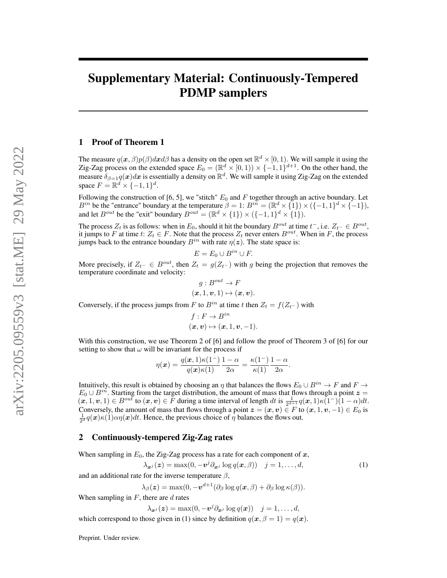# Supplementary Material: Continuously-Tempered PDMP samplers

## 1 Proof of Theorem 1

The measure  $q(x, \beta)p(\beta)dxd\beta$  has a density on the open set  $\mathbb{R}^d \times [0, 1)$ . We will sample it using the Zig-Zag process on the extended space  $E_0 = (\mathbb{R}^d \times [0,1)) \times \{-1,1\}^{d+1}$ . On the other hand, the measure  $\delta_{\beta=1}q(x)dx$  is essentially a density on  $\mathbb{R}^d$ . We will sample it using Zig-Zag on the extended space  $F = \mathbb{R}^d \times \{-1, 1\}^d$ .

Following the construction of [6, 5], we "stitch"  $E_0$  and F together through an active boundary. Let  $B^{in}$  be the "entrance" boundary at the temperature  $\beta = 1$ :  $B^{in} = (\mathbb{R}^d \times \{1\}) \times (\{-1, 1\}^d \times \{-1\})$ , and let  $B^{out}$  be the "exit" boundary  $B^{out} = (\mathbb{R}^d \times \{1\}) \times (\{-1, 1\}^d \times \{1\}).$ 

The process  $Z_t$  is as follows: when in  $E_0$ , should it hit the boundary  $B^{out}$  at time  $t^-$ , i.e.  $Z_t$ -  $\in B^{out}$ , it jumps to F at time t:  $Z_t \in F$ . Note that the process  $Z_t$  never enters  $B^{out}$ . When in F, the process jumps back to the entrance boundary  $B^{in}$  with rate  $\eta(z)$ . The state space is:

$$
E = E_0 \cup B^{in} \cup F.
$$

More precisely, if  $Z_{t-} \in B^{out}$ , then  $Z_t = g(Z_{t-})$  with g being the projection that removes the temperature coordinate and velocity:

$$
g: B^{out} \to F
$$

$$
(\mathbf{x}, 1, \mathbf{v}, 1) \mapsto (\mathbf{x}, \mathbf{v}).
$$

Conversely, if the process jumps from F to  $B^{in}$  at time t then  $Z_t = f(Z_{t-})$  with

$$
f: F \to B^{in}
$$
  

$$
(\mathbf{x}, \mathbf{v}) \mapsto (\mathbf{x}, 1, \mathbf{v}, -1).
$$

With this construction, we use Theorem 2 of [6] and follow the proof of Theorem 3 of [6] for our setting to show that  $\omega$  will be invariant for the process if

$$
\eta(\boldsymbol{x}) = \frac{q(\boldsymbol{x},1)\kappa(1^-)}{q(\boldsymbol{x})\kappa(1)}\frac{1-\alpha}{2\alpha} = \frac{\kappa(1^-)}{\kappa(1)}\frac{1-\alpha}{2\alpha}.
$$

Intuitively, this result is obtained by choosing an  $\eta$  that balances the flows  $E_0 \cup B^{in} \to F$  and  $F \to$  $E_0 \cup B^{in}$ . Starting from the target distribution, the amount of mass that flows through a point  $z =$  $(x, 1, v, 1) \in B^{out}$  to  $(x, v) \in \overline{F}$  during a time interval of length dt is  $\frac{1}{2^{d+1}} q(x, 1) \kappa(1^-)(1-\alpha) dt$ . Conversely, the amount of mass that flows through a point  $z = (x, v) \in F$  to  $(x, 1, v, -1) \in E_0$  is  $\frac{1}{2^d}q(x)\kappa(1)\alpha\eta(x)dt$ . Hence, the previous choice of  $\eta$  balances the flows out.

## 2 Continuously-tempered Zig-Zag rates

When sampling in  $E_0$ , the Zig-Zag process has a rate for each component of x,

$$
\lambda_{\boldsymbol{x}^j}(\boldsymbol{z}) = \max(0, -\boldsymbol{v}^j \partial_{\boldsymbol{x}^j} \log q(\boldsymbol{x}, \beta)) \quad j = 1, \dots, d,
$$
 (1)

and an additional rate for the inverse temperature  $\beta$ ,

$$
\lambda_{\beta}(\boldsymbol{z}) = \max(0, -\boldsymbol{v}^{d+1}(\partial_{\beta}\log q(\boldsymbol{x}, \beta) + \partial_{\beta}\log \kappa(\beta)).
$$

When sampling in  $F$ , there are  $d$  rates

 $\lambda_{\boldsymbol{x}^j}(\boldsymbol{z}) = \max(0, -\boldsymbol{v}^j \partial_{\boldsymbol{x}^j} \log q(\boldsymbol{x})) \quad j = 1, \dots, d,$ 

which correspond to those given in (1) since by definition  $q(x, \beta = 1) = q(x)$ .

Preprint. Under review.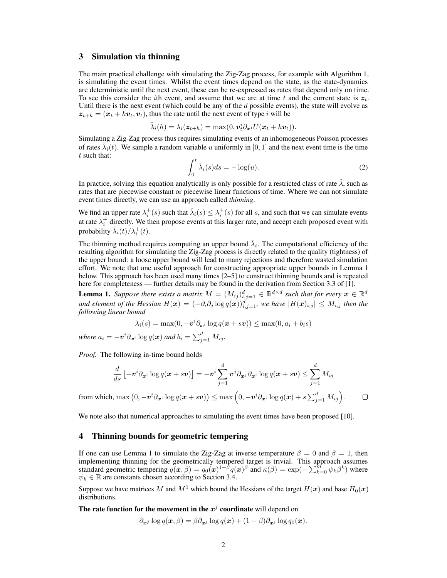## 3 Simulation via thinning

The main practical challenge with simulating the Zig-Zag process, for example with Algorithm 1, is simulating the event times. Whilst the event times depend on the state, as the state-dynamics are deterministic until the next event, these can be re-expressed as rates that depend only on time. To see this consider the *i*th event, and assume that we are at time t and the current state is  $z_t$ . Until there is the next event (which could be any of the  $d$  possible events), the state will evolve as  $z_{t+h} = (x_t + hv_t, v_t)$ , thus the rate until the next event of type *i* will be

$$
\tilde{\lambda}_i(h) = \lambda_i(\boldsymbol{z}_{t+h}) = \max(0, \boldsymbol{v}_t^i \partial_{\boldsymbol{x}^i} U(\boldsymbol{x}_t + h \boldsymbol{v}_t)).
$$

Simulating a Zig-Zag process thus requires simulating events of an inhomogeneous Poisson processes of rates  $\tilde{\lambda}_i(t)$ . We sample a random variable u uniformly in [0, 1] and the next event time is the time t such that:

$$
\int_0^t \tilde{\lambda}_i(s)ds = -\log(u). \tag{2}
$$

In practice, solving this equation analytically is only possible for a restricted class of rate  $\lambda$ , such as rates that are piecewise constant or piecewise linear functions of time. Where we can not simulate event times directly, we can use an approach called *thinning*.

We find an upper rate  $\lambda_i^+(s)$  such that  $\tilde{\lambda}_i(s) \leq \lambda_i^+(s)$  for all s, and such that we can simulate events at rate  $\lambda_i^+$  directly. We then propose events at this larger rate, and accept each proposed event with probability  $\tilde{\lambda}_i(t)/\lambda_i^+(t)$ .

The thinning method requires computing an upper bound  $\bar{\lambda}_i$ . The computational efficiency of the resulting algorithm for simulating the Zig-Zag process is directly related to the quality (tightness) of the upper bound: a loose upper bound will lead to many rejections and therefore wasted simulation effort. We note that one useful approach for constructing appropriate upper bounds in Lemma 1 below. This approach has been used many times [2–5] to construct thinning bounds and is repeated here for completeness — further details may be found in the derivation from Section 3.3 of [1].

**Lemma 1.** Suppose there exists a matrix  $M = (M_{ij})_{i,j=1}^d \in \mathbb{R}^{d \times d}$  such that for every  $x \in \mathbb{R}^d$ and element of the Hessian  $H(x) = (-\partial_i \partial_j \log q(x))_{i,j=1}^d$ , we have  $|H(x)_{i,j}| \leq M_{i,j}$  then the *following linear bound*

$$
\lambda_i(s) = \max(0, -\boldsymbol{v}^i \partial_{\boldsymbol{x}^i} \log q(\boldsymbol{x} + s\boldsymbol{v})) \le \max(0, a_i + b_i s)
$$

*where*  $a_i = -\boldsymbol{v}^i \partial_{\boldsymbol{x}^i} \log q(\boldsymbol{x})$  *and*  $b_i = \sum_{j=1}^d M_{ij}$ *.* 

*Proof.* The following in-time bound holds

$$
\frac{d}{ds}\left[-\boldsymbol{v}^i\partial_{\boldsymbol{x}^i}\log q(\boldsymbol{x}+s\boldsymbol{v})\right]=-\boldsymbol{v}^i\sum_{j=1}^d\boldsymbol{v}^j\partial_{\boldsymbol{x}^j}\partial_{\boldsymbol{x}^i}\log q(\boldsymbol{x}+s\boldsymbol{v})\leq \sum_{j=1}^d M_{ij}
$$

from which,  $\max\left(0, -\bm{v}^i\partial_{\bm{x}^i}\log q(\bm{x}+s\bm{v})\right)\leq \max\left(0, -\bm{v}^i\partial_{\bm{x}^i}\log q(\bm{x})+s\sum_{j=1}^d M_{ij}\right)$ .  $\Box$ 

We note also that numerical approaches to simulating the event times have been proposed [10].

## 4 Thinning bounds for geometric tempering

If one can use Lemma 1 to simulate the Zig-Zag at inverse temperature  $\beta = 0$  and  $\beta = 1$ , then implementing thinning for the geometrically tempered target is trivial. This approach assumes standard geometric tempering  $q(x, \beta) = q_0(x)^{1-\beta} q(x)^{\beta}$  and  $\kappa(\beta) = \exp(-\sum_{k=0}^{m} \psi_k \beta^k)$  where  $\psi_k \in \mathbb{R}$  are constants chosen according to Section 3.4.

Suppose we have matrices M and  $M^0$  which bound the Hessians of the target  $H(x)$  and base  $H_0(x)$ distributions.

The rate function for the movement in the  $x^j$  coordinate will depend on

$$
\partial_{\boldsymbol{x}^j}\log q(\boldsymbol{x},\beta)=\beta\partial_{\boldsymbol{x}^j}\log q(\boldsymbol{x})+(1-\beta)\partial_{\boldsymbol{x}^j}\log q_0(\boldsymbol{x}).
$$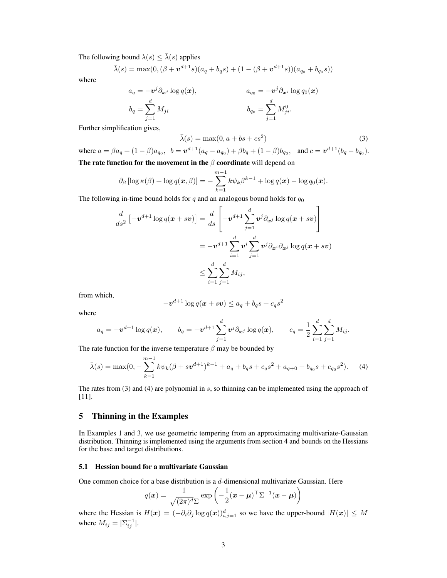The following bound  $\lambda(s) \leq \overline{\lambda}(s)$  applies

$$
\bar{\lambda}(s) = \max(0, (\beta + \mathbf{v}^{d+1}s)(a_q + b_q s) + (1 - (\beta + \mathbf{v}^{d+1}s))(a_{q_0} + b_{q_0}s))
$$

where

$$
a_q = -\mathbf{v}^j \partial_{\mathbf{x}^j} \log q(\mathbf{x}), \qquad a_{q_0} = -\mathbf{v}^j \partial_{\mathbf{x}^j} \log q_0(\mathbf{x})
$$

$$
b_q = \sum_{j=1}^d M_{ji} \qquad b_{q_0} = \sum_{j=1}^d M_{ji}^0.
$$

Further simplification gives,

$$
\bar{\lambda}(s) = \max(0, a + bs + cs^2)
$$
\n(3)

where  $a = \beta a_q + (1 - \beta)a_{q_0}, \ b = \mathbf{v}^{d+1}(a_q - a_{q_0}) + \beta b_q + (1 - \beta)b_{q_0}, \text{ and } c = \mathbf{v}^{d+1}(b_q - b_{q_0}).$ The rate function for the movement in the  $\beta$  coordinate will depend on

$$
\partial_{\beta}\left[\log \kappa(\beta) + \log q(\boldsymbol{x}, \beta)\right] = -\sum_{k=1}^{m-1} k \psi_k \beta^{k-1} + \log q(\boldsymbol{x}) - \log q_0(\boldsymbol{x}).
$$

The following in-time bound holds for  $q$  and an analogous bound holds for  $q_0$ 

$$
\frac{d}{ds^2} \left[ -\mathbf{v}^{d+1} \log q(\mathbf{x} + s\mathbf{v}) \right] = \frac{d}{ds} \left[ -\mathbf{v}^{d+1} \sum_{j=1}^d \mathbf{v}^j \partial_{\mathbf{x}^j} \log q(\mathbf{x} + s\mathbf{v}) \right]
$$
  

$$
= -\mathbf{v}^{d+1} \sum_{i=1}^d \mathbf{v}^i \sum_{j=1}^d \mathbf{v}^j \partial_{\mathbf{x}^i} \partial_{\mathbf{x}^j} \log q(\mathbf{x} + s\mathbf{v})
$$
  

$$
\leq \sum_{i=1}^d \sum_{j=1}^d M_{ij},
$$

from which,

$$
-\boldsymbol{v}^{d+1}\log q(\boldsymbol{x}+s\boldsymbol{v})\leq a_q+b_q s+c_q s^2
$$

where

$$
a_q = -\mathbf{v}^{d+1} \log q(\mathbf{x}),
$$
  $b_q = -\mathbf{v}^{d+1} \sum_{j=1}^d \mathbf{v}^j \partial_{\mathbf{x}^j} \log q(\mathbf{x}),$   $c_q = \frac{1}{2} \sum_{i=1}^d \sum_{j=1}^d M_{ij}.$ 

The rate function for the inverse temperature  $\beta$  may be bounded by

$$
\bar{\lambda}(s) = \max(0, -\sum_{k=1}^{m-1} k\psi_k(\beta + s\mathbf{v}^{d+1})^{k-1} + a_q + b_q s + c_q s^2 + a_{q+0} + b_{q_0} s + c_{q_0} s^2). \tag{4}
$$

The rates from (3) and (4) are polynomial in s, so thinning can be implemented using the approach of [11].

## 5 Thinning in the Examples

In Examples 1 and 3, we use geometric tempering from an approximating multivariate-Gaussian distribution. Thinning is implemented using the arguments from section 4 and bounds on the Hessians for the base and target distributions.

# 5.1 Hessian bound for a multivariate Gaussian

One common choice for a base distribution is a  $d$ -dimensional multivariate Gaussian. Here

$$
q(\boldsymbol{x}) = \frac{1}{\sqrt{(2\pi)^d} \Sigma} \exp\left(-\frac{1}{2}(\boldsymbol{x} - \boldsymbol{\mu})^\top \Sigma^{-1}(\boldsymbol{x} - \boldsymbol{\mu})\right)
$$

where the Hessian is  $H(x) = (-\partial_i \partial_j \log q(x))_{i,j=1}^d$  so we have the upper-bound  $|H(x)| \leq M$ where  $M_{ij} = |\Sigma_{ij}^{-1}|$ .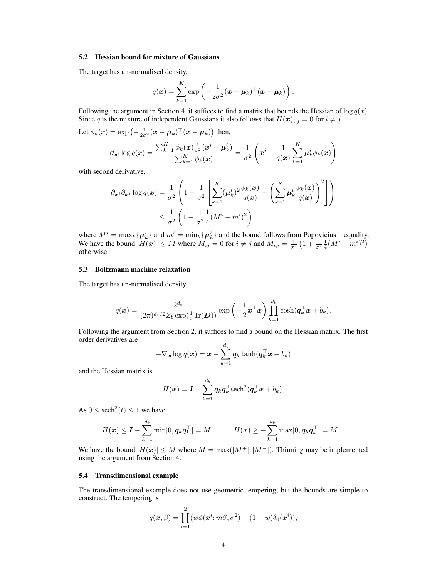#### 5.2 Hessian bound for mixture of Gaussians

The target has un-normalised density,

$$
q(\boldsymbol{x}) = \sum_{k=1}^K \exp\left(-\frac{1}{2\sigma^2}(\boldsymbol{x}-\boldsymbol{\mu}_k)^\top(\boldsymbol{x}-\boldsymbol{\mu}_k)\right),
$$

Following the argument in Section 4, it suffices to find a matrix that bounds the Hessian of  $\log q(x)$ . Since q is the mixture of independent Gaussians it also follows that  $H(\mathbf{x})_{i,j} = 0$  for  $i \neq j$ .

Let 
$$
\phi_k(x) = \exp\left(-\frac{1}{2\sigma^2}(\boldsymbol{x} - \boldsymbol{\mu}_k)^\top(\boldsymbol{x} - \boldsymbol{\mu}_k)\right)
$$
 then,  

$$
\partial_{\boldsymbol{x}^i} \log q(x) = \frac{\sum_{k=1}^K \phi_k(\boldsymbol{x}) \frac{1}{\sigma^2}(\boldsymbol{x}^i - \boldsymbol{\mu}_k^i)}{\sum_{k=1}^K \phi_k(\boldsymbol{x})} = \frac{1}{\sigma^2} \left(\boldsymbol{x}^i - \frac{1}{q(\boldsymbol{x})} \sum_{k=1}^K \boldsymbol{\mu}_k^i \phi_k(\boldsymbol{x})\right)
$$

with second derivative,

$$
\partial_{\boldsymbol{x}^i} \partial_{\boldsymbol{x}^i} \log q(\boldsymbol{x}) = \frac{1}{\sigma^2} \left( 1 + \frac{1}{\sigma^2} \left[ \sum_{k=1}^K (\boldsymbol{\mu}_k^i)^2 \frac{\phi_k(\boldsymbol{x})}{q(\boldsymbol{x})} - \left( \sum_{k=1}^K \boldsymbol{\mu}_k^i \frac{\phi_k(\boldsymbol{x})}{q(\boldsymbol{x})} \right)^2 \right] \right)
$$
  

$$
\leq \frac{1}{\sigma^2} \left( 1 + \frac{1}{\sigma^2} \frac{1}{4} (M^i - m^i)^2 \right)
$$

where  $M^i = \max_k {\{\mu_k^i\}}$  and  $m^i = \min_k {\{\mu_k^i\}}$  and the bound follows from Popovicius inequality. We have the bound  $|H(x)| \le M$  where  $M_{ij} = 0$  for  $i \ne j$  and  $M_{i,i} = \frac{1}{\sigma^2} \left(1 + \frac{1}{\sigma^2} \frac{1}{4} (M^i - m^i)^2\right)$ otherwise.

## 5.3 Boltzmann machine relaxation

The target has un-normalised density,

$$
q(\boldsymbol{x}) = \frac{2^{d_b}}{(2\pi)^{d_r/2}Z_b \exp(\frac{1}{2}\text{Tr}(\boldsymbol{D}))} \exp\left(-\frac{1}{2}\boldsymbol{x}^\top \boldsymbol{x}\right) \prod_{k=1}^{d_b} \cosh(q_k^\top \boldsymbol{x} + b_k).
$$

Following the argument from Section 2, it suffices to find a bound on the Hessian matrix. The first order derivatives are

$$
-\nabla_{\boldsymbol{x}}\log q(\boldsymbol{x})=\boldsymbol{x}-\sum_{k=1}^{d_b}\boldsymbol{q}_k\tanh(\boldsymbol{q}_k^\top\boldsymbol{x}+b_k)
$$

and the Hessian matrix is

$$
H(\boldsymbol{x}) = \boldsymbol{I} - \sum_{k=1}^{d_b} \boldsymbol{q}_k \boldsymbol{q}_k^{\top} \mathrm{sech}^2(\boldsymbol{q}_k^{\top} \boldsymbol{x} + b_k).
$$

As  $0 \le \operatorname{sech}^2(t) \le 1$  we have

$$
H(\boldsymbol{x}) \leq \boldsymbol{I} - \sum_{k=1}^{d_b} \min[0, \boldsymbol{q}_k \boldsymbol{q}_k^\top] = M^+, \qquad H(\boldsymbol{x}) \geq -\sum_{k=1}^{d_b} \max[0, \boldsymbol{q}_k \boldsymbol{q}_k^\top] = M^-.
$$

We have the bound  $|H(x)| \leq M$  where  $M = \max(|M^+|, |M^-|)$ . Thinning may be implemented using the argument from Section 4.

#### 5.4 Transdimensional example

The transdimensional example does not use geometric tempering, but the bounds are simple to construct. The tempering is

$$
q(\boldsymbol{x},\beta) = \prod_{i=1}^2 (w\phi(\boldsymbol{x}^i;m\beta,\sigma^2) + (1-w)\delta_0(\boldsymbol{x}^i)),
$$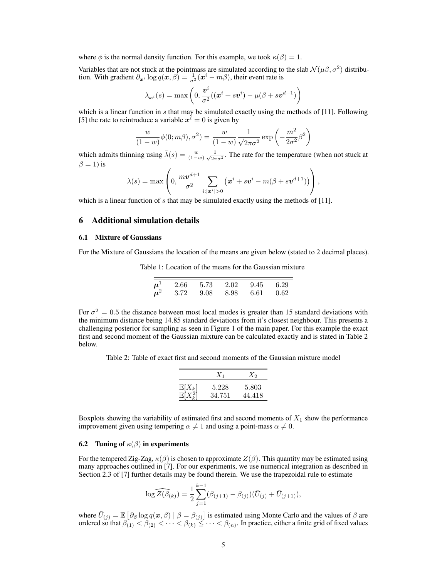where  $\phi$  is the normal density function. For this example, we took  $\kappa(\beta) = 1$ .

Variables that are not stuck at the pointmass are simulated according to the slab  $\mathcal{N}(\mu\beta, \sigma^2)$  distribution. With gradient  $\partial_{x_i} \log q(x, \beta) = \frac{1}{\sigma^2} (x^i - m\beta)$ , their event rate is

$$
\lambda_{\boldsymbol{x}^i}(s) = \max\left(0, \frac{\boldsymbol{v}^i}{\sigma^2}((\boldsymbol{x}^i + s\boldsymbol{v}^i) - \mu(\beta + s\boldsymbol{v}^{d+1}))\right)
$$

which is a linear function in  $s$  that may be simulated exactly using the methods of [11]. Following [5] the rate to reintroduce a variable  $x^i = 0$  is given by

$$
\frac{w}{(1-w)}\phi(0;m\beta),\sigma^2) = \frac{w}{(1-w)}\frac{1}{\sqrt{2\pi\sigma^2}}\exp\left(-\frac{m^2}{2\sigma^2}\beta^2\right)
$$

which admits thinning using  $\bar{\lambda}(s) = \frac{w}{(1-w)} \frac{1}{\sqrt{2\pi}}$  $\frac{1}{2\pi\sigma^2}$ . The rate for the temperature (when not stuck at  $\beta = 1$ ) is

$$
\lambda(s) = \max\left(0, \frac{m\boldsymbol{v}^{d+1}}{\sigma^2}\sum_{i:|\boldsymbol{x}^i|>0}\left(\boldsymbol{x}^i + s\boldsymbol{v}^i - m(\beta + s\boldsymbol{v}^{d+1})\right)\right),\,
$$

which is a linear function of  $s$  that may be simulated exactly using the methods of [11].

# 6 Additional simulation details

### 6.1 Mixture of Gaussians

For the Mixture of Gaussians the location of the means are given below (stated to 2 decimal places).

Table 1: Location of the means for the Gaussian mixture

|         |  | $\mu^1$ 2.66 5.73 2.02 9.45 6.29 |  |
|---------|--|----------------------------------|--|
| $\mu^2$ |  | 3.72 9.08 8.98 6.61 0.62         |  |

For  $\sigma^2 = 0.5$  the distance between most local modes is greater than 15 standard deviations with the minimum distance being 14.85 standard deviations from it's closest neighbour. This presents a challenging posterior for sampling as seen in Figure 1 of the main paper. For this example the exact first and second moment of the Gaussian mixture can be calculated exactly and is stated in Table 2 below.

Table 2: Table of exact first and second moments of the Gaussian mixture model

|                                          | $X_1$           | $X_2$           |
|------------------------------------------|-----------------|-----------------|
| $\mathbb{E}[X_k]$<br>$\mathbb{E}[X_k^2]$ | 5.228<br>34.751 | 5.803<br>44.418 |

Boxplots showing the variability of estimated first and second moments of  $X_1$  show the performance improvement given using tempering  $\alpha \neq 1$  and using a point-mass  $\alpha \neq 0$ .

### **6.2** Tuning of  $\kappa(\beta)$  in experiments

For the tempered Zig-Zag,  $\kappa(\beta)$  is chosen to approximate  $Z(\beta)$ . This quantity may be estimated using many approaches outlined in [7]. For our experiments, we use numerical integration as described in Section 2.3 of [7] further details may be found therein. We use the trapezoidal rule to estimate

$$
\log \widehat{Z(\beta_{(k)})} = \frac{1}{2} \sum_{j=1}^{k-1} (\beta_{(j+1)} - \beta_{(j)})(\bar{U}_{(j)} + \bar{U}_{(j+1)}),
$$

where  $\bar{U}_{(j)} = \mathbb{E}_{\alpha} [\partial_{\beta} \log q(x, \beta) | \beta = \beta_{(j)}]$  is estimated using Monte Carlo and the values of  $\beta$  are ordered so that  $\beta_{(1)} < \beta_{(2)} < \cdots < \beta_{(k)} \leq \cdots < \beta_{(n)}$ . In practice, either a finite grid of fixed values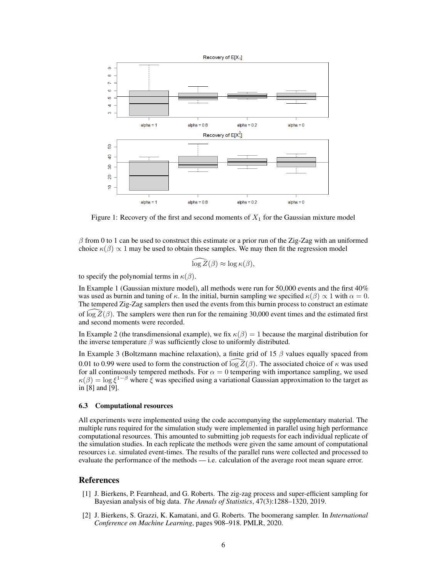

Figure 1: Recovery of the first and second moments of  $X_1$  for the Gaussian mixture model

 $\beta$  from 0 to 1 can be used to construct this estimate or a prior run of the Zig-Zag with an uniformed choice  $\kappa(\beta) \propto 1$  may be used to obtain these samples. We may then fit the regression model

$$
\widehat{\log Z}(\beta) \approx \log \kappa(\beta),
$$

to specify the polynomial terms in  $\kappa(\beta)$ .

In Example 1 (Gaussian mixture model), all methods were run for 50,000 events and the first 40% was used as burnin and tuning of  $\kappa$ . In the initial, burnin sampling we specified  $\kappa(\beta) \propto 1$  with  $\alpha = 0$ . The tempered Zig-Zag samplers then used the events from this burnin process to construct an estimate of log  $Z(\beta)$ . The samplers were then run for the remaining 30,000 event times and the estimated first and second moments were recorded.

In Example 2 (the transdimensional example), we fix  $\kappa(\beta) = 1$  because the marginal distribution for the inverse temperature  $\beta$  was sufficiently close to uniformly distributed.

In Example 3 (Boltzmann machine relaxation), a finite grid of 15  $\beta$  values equally spaced from 0.01 to 0.99 were used to form the construction of  $\log \overline{Z}(\beta)$ . The associated choice of  $\kappa$  was used for all continuously tempered methods. For  $\alpha = 0$  tempering with importance sampling, we used  $\kappa(\beta) = \log \xi^{1-\beta}$  where  $\bar{\xi}$  was specified using a variational Gaussian approximation to the target as in [8] and [9].

#### 6.3 Computational resources

All experiments were implemented using the code accompanying the supplementary material. The multiple runs required for the simulation study were implemented in parallel using high performance computational resources. This amounted to submitting job requests for each individual replicate of the simulation studies. In each replicate the methods were given the same amount of computational resources i.e. simulated event-times. The results of the parallel runs were collected and processed to evaluate the performance of the methods — i.e. calculation of the average root mean square error.

### References

- [1] J. Bierkens, P. Fearnhead, and G. Roberts. The zig-zag process and super-efficient sampling for Bayesian analysis of big data. *The Annals of Statistics*, 47(3):1288–1320, 2019.
- [2] J. Bierkens, S. Grazzi, K. Kamatani, and G. Roberts. The boomerang sampler. In *International Conference on Machine Learning*, pages 908–918. PMLR, 2020.